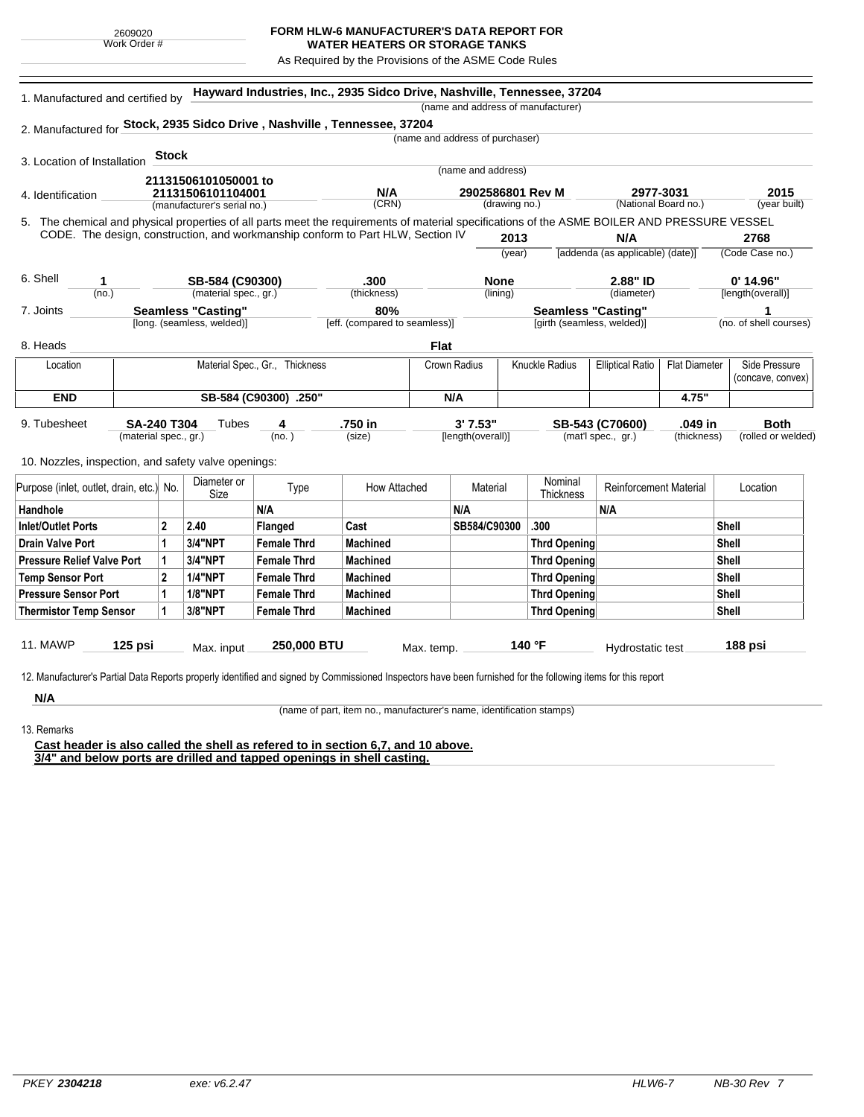## **FORM HLW-6 MANUFACTURER'S DATA REPORT FOR**

**WATER HEATERS OR STORAGE TANKS** As Required by the Provisions of the ASME Code Rules

5. (year built) **Hayward Industries, Inc., 2935 Sidco Drive, Nashville, Tennessee, 37204** 1. Manufactured and certified by 2. Manufactured for **Stock, 2935 Sidco Drive , Nashville , Tennessee, 37204** 3. Location of Installation 4. Identification (manufacturer's serial no.) (CRN) (drawing no.) (National Board no.) 11. MAWP **125 psi** Max. input **250,000 BTU** Max. temp. **140 °F** Hydrostatic test **188 psi** (material spec., gr.) 9. Tubesheet 10. Nozzles, inspection, and safety valve openings: **Stock** The chemical and physical properties of all parts meet the requirements of material specifications of the ASME BOILER AND PRESSURE VESSEL CODE. The design, construction, and workmanship conform to Part HLW, Section IV **2013** (year) (no.) (material spec., gr.) (thickness) 6. Shell 7. Joints 8. Heads [long. (seamless, welded)] [eff. (compared to seamless)] [girth (seamless, welded)] (no. of shell courses) **N/A** [addenda (as applicable) (date)] **2768** (Code Case no.) (diameter) [length(overall)] (name and address of manufacturer) (name and address of purchaser) (name and address) (lining)  $(no. )$ **Tubes** (size) [length(overall)] (mat'l spec., gr.) (thickness) (rolled or welded) **2977-3031 2015 21131506101050001 to 21131506101104001 N/A 2902586801 Rev M 1 SB-584 (C90300) .300 None 2.88" ID 0' 14.96" Seamless "Casting" 80% Seamless "Casting" 1 SA-240 T304 4 .750 in 3' 7.53" SB-543 (C70600) .049 in Both Flat** Location | Material Spec., Gr., Thickness | Crown Radius | Knuckle Radius | Elliptical Ratio | Flat Diameter | Side Pressure (concave, convex) **END SB-584 (C90300) .250" N/A 4.75"** Purpose (inlet, outlet, drain, etc.) No.  $\begin{array}{|c|c|} \hline \text{Diameter or } \\ \text{Size} \end{array}$ meter or **Type** How Attached Material Nominal<br>Size Thicknes Nominal Reinforcement Material Location Handhole N/A N/A N/A Inlet/Outlet Ports 2 2.40 Flanged Cast SB584/C90300 .300 Shell Drain Valve Port |1 |3/4"NPT |Female Thrd |Machined |Thrd Opening |Shell Pressure Relief Valve Port | 1 | 3/4"NPT | Female Thrd | Machined | Thrd Opening | Thrd Opening | Shell Temp Sensor Port |2 |1/4"NPT | Female Thrd | Machined | Shell Pressure Sensor Port | 1 | 1/8"NPT | Female Thrd | Machined | Thrd Opening | Thrd Opening | Shell Thermistor Temp Sensor | 1 | 3/8"NPT | Female Thrd | Machined Three Three Thrd Opening | Thrd Opening | Shell

12. Manufacturer's Partial Data Reports properly identified and signed by Commissioned Inspectors have been furnished for the following items for this report

**N/A** 13. Remarks

(name of part, item no., manufacturer's name, identification stamps)

**Cast header is also called the shell as refered to in section 6,7, and 10 above. 3/4" and below ports are drilled and tapped openings in shell casting.**